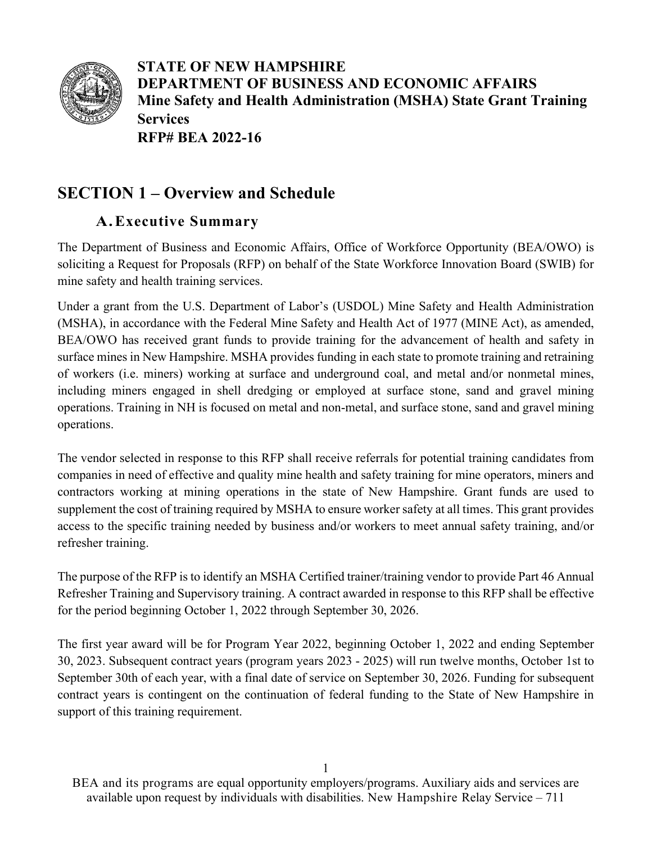

**STATE OF NEW HAMPSHIRE DEPARTMENT OF BUSINESS AND ECONOMIC AFFAIRS Mine Safety and Health Administration (MSHA) State Grant Training Services RFP# BEA 2022-16**

# **SECTION 1 – Overview and Schedule**

## **A.Executive Summary**

The Department of Business and Economic Affairs, Office of Workforce Opportunity (BEA/OWO) is soliciting a Request for Proposals (RFP) on behalf of the State Workforce Innovation Board (SWIB) for mine safety and health training services.

Under a grant from the U.S. Department of Labor's (USDOL) Mine Safety and Health Administration (MSHA), in accordance with the Federal Mine Safety and Health Act of 1977 (MINE Act), as amended, BEA/OWO has received grant funds to provide training for the advancement of health and safety in surface mines in New Hampshire. MSHA provides funding in each state to promote training and retraining of workers (i.e. miners) working at surface and underground coal, and metal and/or nonmetal mines, including miners engaged in shell dredging or employed at surface stone, sand and gravel mining operations. Training in NH is focused on metal and non-metal, and surface stone, sand and gravel mining operations.

The vendor selected in response to this RFP shall receive referrals for potential training candidates from companies in need of effective and quality mine health and safety training for mine operators, miners and contractors working at mining operations in the state of New Hampshire. Grant funds are used to supplement the cost of training required by MSHA to ensure worker safety at all times. This grant provides access to the specific training needed by business and/or workers to meet annual safety training, and/or refresher training.

The purpose of the RFP is to identify an MSHA Certified trainer/training vendor to provide Part 46 Annual Refresher Training and Supervisory training. A contract awarded in response to this RFP shall be effective for the period beginning October 1, 2022 through September 30, 2026.

The first year award will be for Program Year 2022, beginning October 1, 2022 and ending September 30, 2023. Subsequent contract years (program years 2023 - 2025) will run twelve months, October 1st to September 30th of each year, with a final date of service on September 30, 2026. Funding for subsequent contract years is contingent on the continuation of federal funding to the State of New Hampshire in support of this training requirement.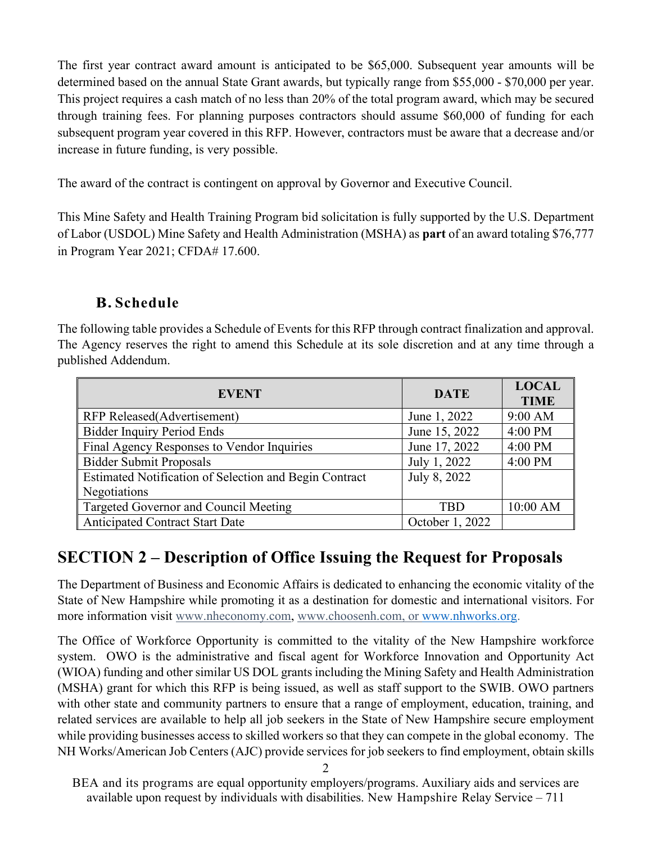The first year contract award amount is anticipated to be \$65,000. Subsequent year amounts will be determined based on the annual State Grant awards, but typically range from \$55,000 - \$70,000 per year. This project requires a cash match of no less than 20% of the total program award, which may be secured through training fees. For planning purposes contractors should assume \$60,000 of funding for each subsequent program year covered in this RFP. However, contractors must be aware that a decrease and/or increase in future funding, is very possible.

The award of the contract is contingent on approval by Governor and Executive Council.

This Mine Safety and Health Training Program bid solicitation is fully supported by the U.S. Department of Labor (USDOL) Mine Safety and Health Administration (MSHA) as **part** of an award totaling \$76,777 in Program Year 2021; CFDA# 17.600.

## **B. Schedule**

The following table provides a Schedule of Events for this RFP through contract finalization and approval. The Agency reserves the right to amend this Schedule at its sole discretion and at any time through a published Addendum.

| <b>EVENT</b>                                           | <b>DATE</b>     | <b>LOCAL</b><br><b>TIME</b> |
|--------------------------------------------------------|-----------------|-----------------------------|
| RFP Released(Advertisement)                            | June 1, 2022    | 9:00 AM                     |
| <b>Bidder Inquiry Period Ends</b>                      | June 15, 2022   | 4:00 PM                     |
| Final Agency Responses to Vendor Inquiries             | June 17, 2022   | 4:00 PM                     |
| <b>Bidder Submit Proposals</b>                         | July 1, 2022    | 4:00 PM                     |
| Estimated Notification of Selection and Begin Contract | July 8, 2022    |                             |
| Negotiations                                           |                 |                             |
| Targeted Governor and Council Meeting                  | <b>TBD</b>      | 10:00 AM                    |
| <b>Anticipated Contract Start Date</b>                 | October 1, 2022 |                             |

# **SECTION 2 – Description of Office Issuing the Request for Proposals**

The Department of Business and Economic Affairs is dedicated to enhancing the economic vitality of the State of New Hampshire while promoting it as a destination for domestic and international visitors. For more information visit [www.nheconomy.com,](http://www.nheconomy.com/) [www.choosenh.com,](http://www.choosenh.com/) or [www.nhworks.org.](http://www.nhworks.org/)

The Office of Workforce Opportunity is committed to the vitality of the New Hampshire workforce system. OWO is the administrative and fiscal agent for Workforce Innovation and Opportunity Act (WIOA) funding and other similar US DOL grants including the Mining Safety and Health Administration (MSHA) grant for which this RFP is being issued, as well as staff support to the SWIB. OWO partners with other state and community partners to ensure that a range of employment, education, training, and related services are available to help all job seekers in the State of New Hampshire secure employment while providing businesses access to skilled workers so that they can compete in the global economy. The NH Works/American Job Centers (AJC) provide services for job seekers to find employment, obtain skills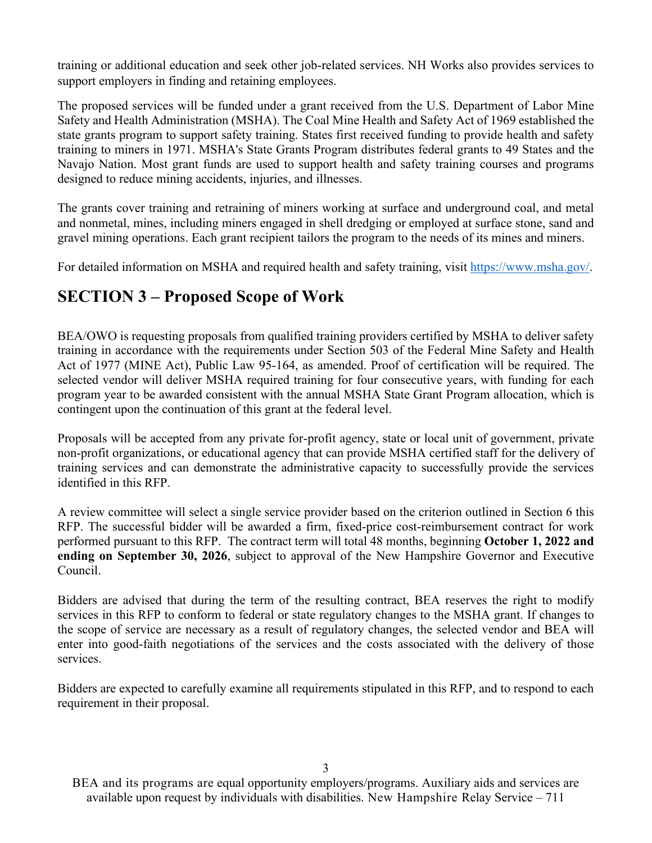training or additional education and seek other job-related services. NH Works also provides services to support employers in finding and retaining employees.

The proposed services will be funded under a grant received from the U.S. Department of Labor Mine Safety and Health Administration (MSHA). The Coal Mine Health and Safety Act of 1969 established the state grants program to support safety training. States first received funding to provide health and safety training to miners in 1971. MSHA's State Grants Program distributes federal grants to 49 States and the Navajo Nation. Most grant funds are used to support health and safety training courses and programs designed to reduce mining accidents, injuries, and illnesses.

The grants cover training and retraining of miners working at surface and underground coal, and metal and nonmetal, mines, including miners engaged in shell dredging or employed at surface stone, sand and gravel mining operations. Each grant recipient tailors the program to the needs of its mines and miners.

For detailed information on MSHA and required health and safety training, visit<https://www.msha.gov/>[.](http://www.doleta.gov/WIOA)

# **SECTION 3 – Proposed Scope of Work**

BEA/OWO is requesting proposals from qualified training providers certified by MSHA to deliver safety training in accordance with the requirements under Section 503 of the Federal Mine Safety and Health Act of 1977 (MINE Act), Public Law 95-164, as amended. Proof of certification will be required. The selected vendor will deliver MSHA required training for four consecutive years, with funding for each program year to be awarded consistent with the annual MSHA State Grant Program allocation, which is contingent upon the continuation of this grant at the federal level.

Proposals will be accepted from any private for-profit agency, state or local unit of government, private non-profit organizations, or educational agency that can provide MSHA certified staff for the delivery of training services and can demonstrate the administrative capacity to successfully provide the services identified in this RFP.

A review committee will select a single service provider based on the criterion outlined in Section 6 this RFP. The successful bidder will be awarded a firm, fixed-price cost-reimbursement contract for work performed pursuant to this RFP. The contract term will total 48 months, beginning **October 1, 2022 and ending on September 30, 2026**, subject to approval of the New Hampshire Governor and Executive Council.

Bidders are advised that during the term of the resulting contract, BEA reserves the right to modify services in this RFP to conform to federal or state regulatory changes to the MSHA grant. If changes to the scope of service are necessary as a result of regulatory changes, the selected vendor and BEA will enter into good-faith negotiations of the services and the costs associated with the delivery of those services.

Bidders are expected to carefully examine all requirements stipulated in this RFP, and to respond to each requirement in their proposal.

BEA and its programs are equal opportunity employers/programs. Auxiliary aids and services are available upon request by individuals with disabilities. New Hampshire Relay Service – 711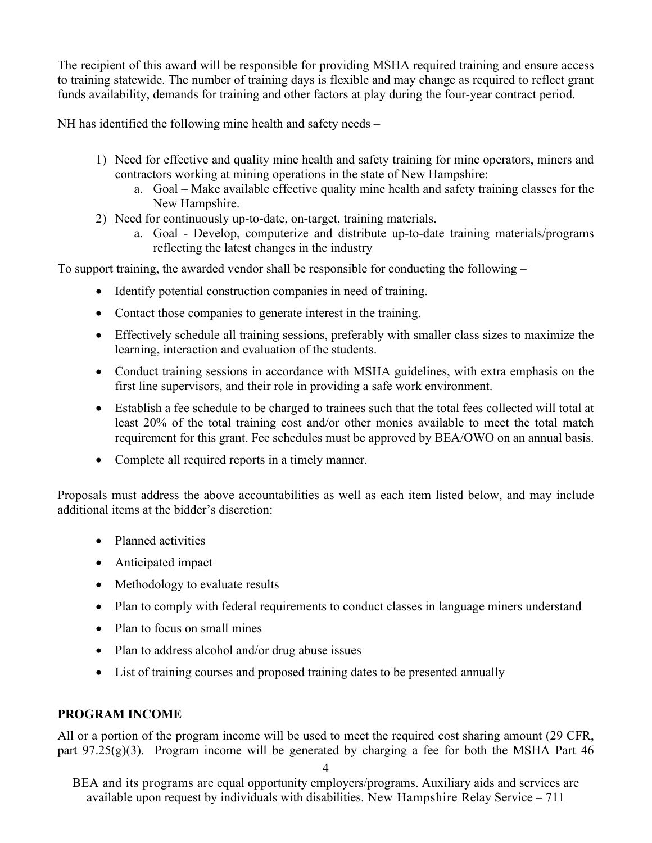The recipient of this award will be responsible for providing MSHA required training and ensure access to training statewide. The number of training days is flexible and may change as required to reflect grant funds availability, demands for training and other factors at play during the four-year contract period.

NH has identified the following mine health and safety needs –

- 1) Need for effective and quality mine health and safety training for mine operators, miners and contractors working at mining operations in the state of New Hampshire:
	- a. Goal Make available effective quality mine health and safety training classes for the New Hampshire.
- 2) Need for continuously up-to-date, on-target, training materials.
	- a. Goal Develop, computerize and distribute up-to-date training materials/programs reflecting the latest changes in the industry

To support training, the awarded vendor shall be responsible for conducting the following –

- Identify potential construction companies in need of training.
- Contact those companies to generate interest in the training.
- Effectively schedule all training sessions, preferably with smaller class sizes to maximize the learning, interaction and evaluation of the students.
- Conduct training sessions in accordance with MSHA guidelines, with extra emphasis on the first line supervisors, and their role in providing a safe work environment.
- Establish a fee schedule to be charged to trainees such that the total fees collected will total at least 20% of the total training cost and/or other monies available to meet the total match requirement for this grant. Fee schedules must be approved by BEA/OWO on an annual basis.
- Complete all required reports in a timely manner.

Proposals must address the above accountabilities as well as each item listed below, and may include additional items at the bidder's discretion:

- Planned activities
- Anticipated impact
- Methodology to evaluate results
- Plan to comply with federal requirements to conduct classes in language miners understand
- Plan to focus on small mines
- Plan to address alcohol and/or drug abuse issues
- List of training courses and proposed training dates to be presented annually

#### **PROGRAM INCOME**

All or a portion of the program income will be used to meet the required cost sharing amount (29 CFR, part  $97.25(g)(3)$ . Program income will be generated by charging a fee for both the MSHA Part 46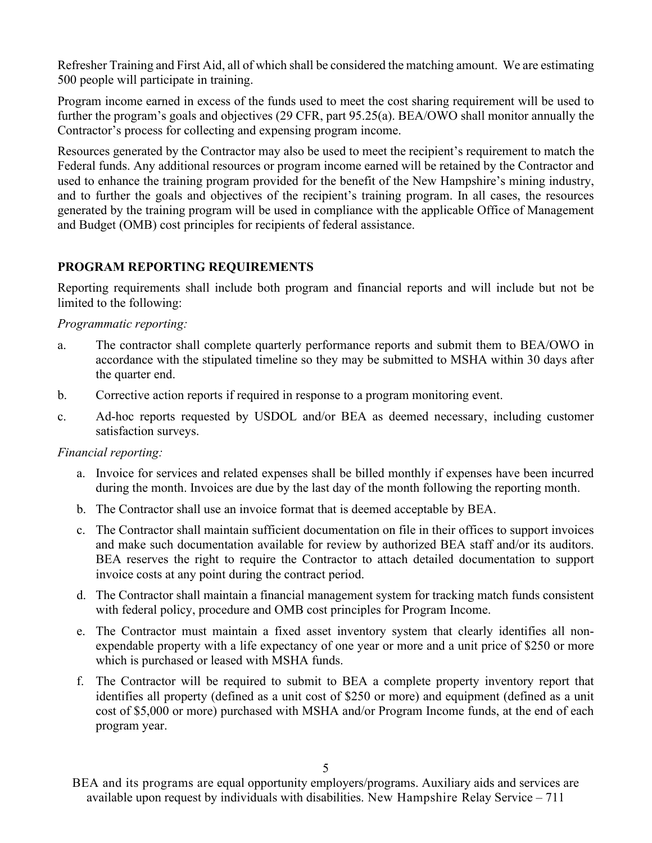Refresher Training and First Aid, all of which shall be considered the matching amount. We are estimating 500 people will participate in training.

Program income earned in excess of the funds used to meet the cost sharing requirement will be used to further the program's goals and objectives (29 CFR, part 95.25(a). BEA/OWO shall monitor annually the Contractor's process for collecting and expensing program income.

Resources generated by the Contractor may also be used to meet the recipient's requirement to match the Federal funds. Any additional resources or program income earned will be retained by the Contractor and used to enhance the training program provided for the benefit of the New Hampshire's mining industry, and to further the goals and objectives of the recipient's training program. In all cases, the resources generated by the training program will be used in compliance with the applicable Office of Management and Budget (OMB) cost principles for recipients of federal assistance.

#### **PROGRAM REPORTING REQUIREMENTS**

Reporting requirements shall include both program and financial reports and will include but not be limited to the following:

#### *Programmatic reporting:*

- a. The contractor shall complete quarterly performance reports and submit them to BEA/OWO in accordance with the stipulated timeline so they may be submitted to MSHA within 30 days after the quarter end.
- b. Corrective action reports if required in response to a program monitoring event.
- c. Ad-hoc reports requested by USDOL and/or BEA as deemed necessary, including customer satisfaction surveys.

#### *Financial reporting:*

- a. Invoice for services and related expenses shall be billed monthly if expenses have been incurred during the month. Invoices are due by the last day of the month following the reporting month.
- b. The Contractor shall use an invoice format that is deemed acceptable by BEA.
- c. The Contractor shall maintain sufficient documentation on file in their offices to support invoices and make such documentation available for review by authorized BEA staff and/or its auditors. BEA reserves the right to require the Contractor to attach detailed documentation to support invoice costs at any point during the contract period.
- d. The Contractor shall maintain a financial management system for tracking match funds consistent with federal policy, procedure and OMB cost principles for Program Income.
- e. The Contractor must maintain a fixed asset inventory system that clearly identifies all nonexpendable property with a life expectancy of one year or more and a unit price of \$250 or more which is purchased or leased with MSHA funds.
- f. The Contractor will be required to submit to BEA a complete property inventory report that identifies all property (defined as a unit cost of \$250 or more) and equipment (defined as a unit cost of \$5,000 or more) purchased with MSHA and/or Program Income funds, at the end of each program year.

BEA and its programs are equal opportunity employers/programs. Auxiliary aids and services are available upon request by individuals with disabilities. New Hampshire Relay Service – 711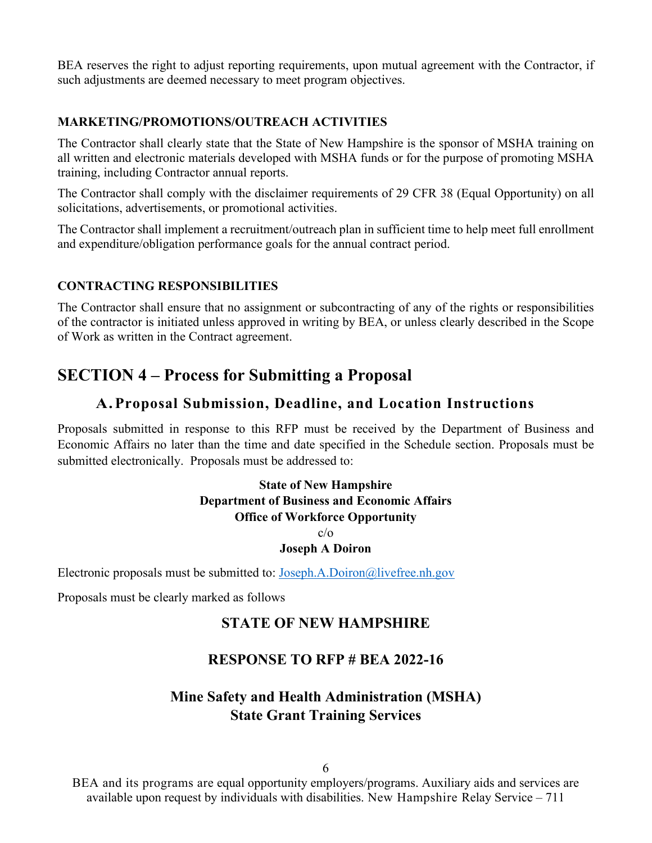BEA reserves the right to adjust reporting requirements, upon mutual agreement with the Contractor, if such adjustments are deemed necessary to meet program objectives.

#### **MARKETING/PROMOTIONS/OUTREACH ACTIVITIES**

The Contractor shall clearly state that the State of New Hampshire is the sponsor of MSHA training on all written and electronic materials developed with MSHA funds or for the purpose of promoting MSHA training, including Contractor annual reports.

The Contractor shall comply with the disclaimer requirements of 29 CFR 38 (Equal Opportunity) on all solicitations, advertisements, or promotional activities.

The Contractor shall implement a recruitment/outreach plan in sufficient time to help meet full enrollment and expenditure/obligation performance goals for the annual contract period.

#### **CONTRACTING RESPONSIBILITIES**

The Contractor shall ensure that no assignment or subcontracting of any of the rights or responsibilities of the contractor is initiated unless approved in writing by BEA, or unless clearly described in the Scope of Work as written in the Contract agreement.

# **SECTION 4 – Process for Submitting a Proposal**

## **A.Proposal Submission, Deadline, and Location Instructions**

Proposals submitted in response to this RFP must be received by the Department of Business and Economic Affairs no later than the time and date specified in the Schedule section. Proposals must be submitted electronically. Proposals must be addressed to:

#### **State of New Hampshire Department of Business and Economic Affairs Office of Workforce Opportunity**  $c/\alpha$

#### **Joseph A Doiron**

Electronic proposals must be submitted to: [Joseph.A.Doiron@livefree.nh.gov](mailto:Joseph.A.Doiron@livefree.nh.gov)

Proposals must be clearly marked as follows

## **STATE OF NEW HAMPSHIRE**

## **RESPONSE TO RFP # BEA 2022-16**

## **Mine Safety and Health Administration (MSHA) State Grant Training Services**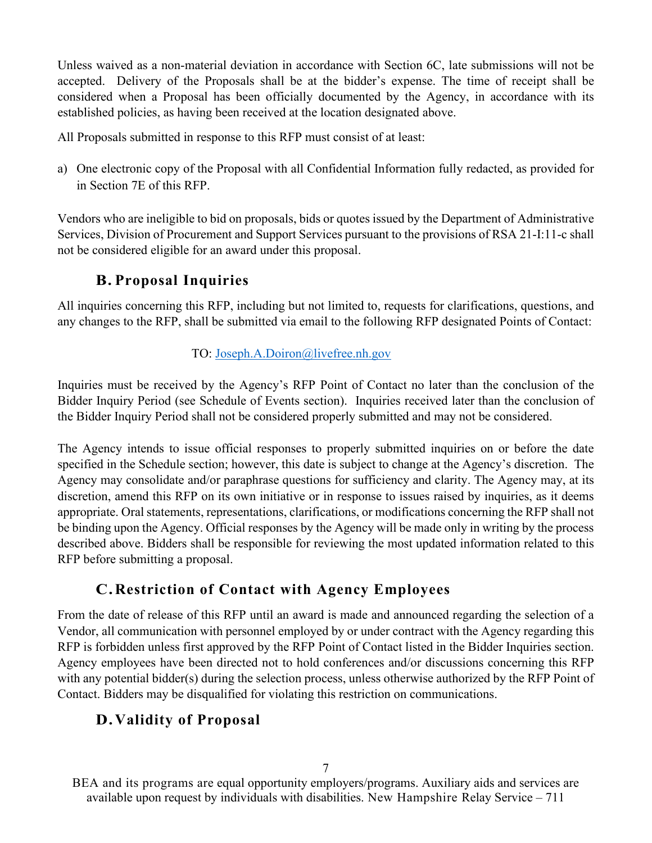Unless waived as a non-material deviation in accordance with Section 6C, late submissions will not be accepted. Delivery of the Proposals shall be at the bidder's expense. The time of receipt shall be considered when a Proposal has been officially documented by the Agency, in accordance with its established policies, as having been received at the location designated above.

All Proposals submitted in response to this RFP must consist of at least:

a) One electronic copy of the Proposal with all Confidential Information fully redacted, as provided for in Section 7E of this RFP.

Vendors who are ineligible to bid on proposals, bids or quotes issued by the Department of Administrative Services, Division of Procurement and Support Services pursuant to the provisions of RSA 21-I:11-c shall not be considered eligible for an award under this proposal.

# **B. Proposal Inquiries**

All inquiries concerning this RFP, including but not limited to, requests for clarifications, questions, and any changes to the RFP, shall be submitted via email to the following RFP designated Points of Contact:

## TO: [Joseph.A.Doiron@livefree.nh.gov](mailto:Joseph.A.Doiron@livefree.nh.gov)

Inquiries must be received by the Agency's RFP Point of Contact no later than the conclusion of the Bidder Inquiry Period (see Schedule of Events section). Inquiries received later than the conclusion of the Bidder Inquiry Period shall not be considered properly submitted and may not be considered.

The Agency intends to issue official responses to properly submitted inquiries on or before the date specified in the Schedule section; however, this date is subject to change at the Agency's discretion. The Agency may consolidate and/or paraphrase questions for sufficiency and clarity. The Agency may, at its discretion, amend this RFP on its own initiative or in response to issues raised by inquiries, as it deems appropriate. Oral statements, representations, clarifications, or modifications concerning the RFP shall not be binding upon the Agency. Official responses by the Agency will be made only in writing by the process described above. Bidders shall be responsible for reviewing the most updated information related to this RFP before submitting a proposal.

## **C.Restriction of Contact with Agency Employees**

From the date of release of this RFP until an award is made and announced regarding the selection of a Vendor, all communication with personnel employed by or under contract with the Agency regarding this RFP is forbidden unless first approved by the RFP Point of Contact listed in the Bidder Inquiries section. Agency employees have been directed not to hold conferences and/or discussions concerning this RFP with any potential bidder(s) during the selection process, unless otherwise authorized by the RFP Point of Contact. Bidders may be disqualified for violating this restriction on communications.

# **D.Validity of Proposal**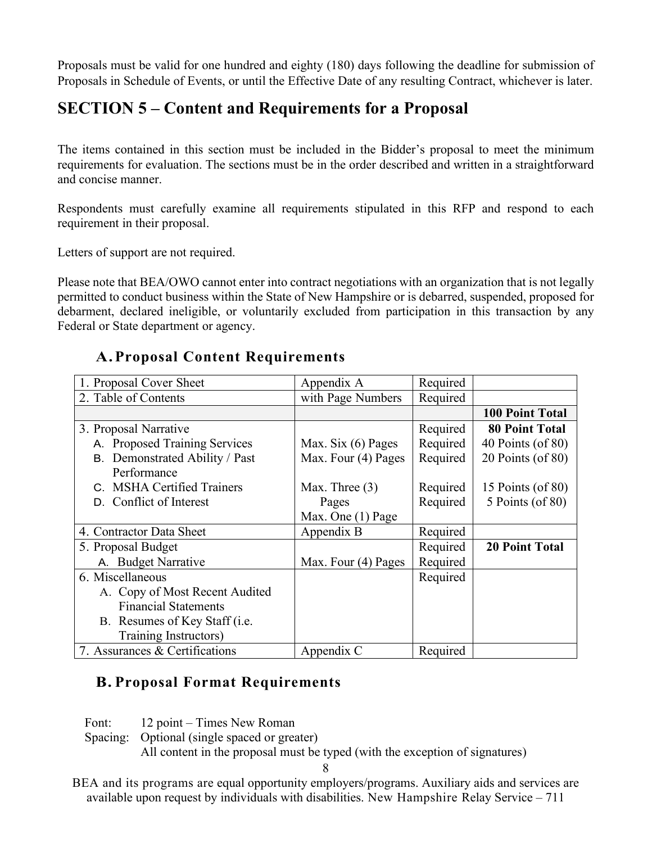Proposals must be valid for one hundred and eighty (180) days following the deadline for submission of Proposals in Schedule of Events, or until the Effective Date of any resulting Contract, whichever is later.

# **SECTION 5 – Content and Requirements for a Proposal**

The items contained in this section must be included in the Bidder's proposal to meet the minimum requirements for evaluation. The sections must be in the order described and written in a straightforward and concise manner.

Respondents must carefully examine all requirements stipulated in this RFP and respond to each requirement in their proposal.

Letters of support are not required.

Please note that BEA/OWO cannot enter into contract negotiations with an organization that is not legally permitted to conduct business within the State of New Hampshire or is debarred, suspended, proposed for debarment, declared ineligible, or voluntarily excluded from participation in this transaction by any Federal or State department or agency.

## **A.Proposal Content Requirements**

| 1. Proposal Cover Sheet                 | Appendix A           | Required |                        |
|-----------------------------------------|----------------------|----------|------------------------|
| 2. Table of Contents                    | with Page Numbers    | Required |                        |
|                                         |                      |          | <b>100 Point Total</b> |
| 3. Proposal Narrative                   |                      | Required | <b>80 Point Total</b>  |
| A. Proposed Training Services           | Max. Six $(6)$ Pages | Required | 40 Points (of 80)      |
| B. Demonstrated Ability / Past          | Max. Four (4) Pages  | Required | 20 Points (of 80)      |
| Performance                             |                      |          |                        |
| C. MSHA Certified Trainers              | Max. Three $(3)$     | Required | 15 Points (of $80$ )   |
| D. Conflict of Interest                 | Pages                | Required | 5 Points (of 80)       |
|                                         | Max. One (1) Page    |          |                        |
| 4. Contractor Data Sheet                | Appendix B           | Required |                        |
| 5. Proposal Budget                      |                      | Required | <b>20 Point Total</b>  |
| A. Budget Narrative                     | Max. Four (4) Pages  | Required |                        |
| 6. Miscellaneous                        |                      | Required |                        |
| A. Copy of Most Recent Audited          |                      |          |                        |
| <b>Financial Statements</b>             |                      |          |                        |
| B. Resumes of Key Staff ( <i>i.e.</i> ) |                      |          |                        |
| Training Instructors)                   |                      |          |                        |
| 7. Assurances & Certifications          | Appendix C           | Required |                        |

## **B. Proposal Format Requirements**

Font: 12 point – Times New Roman

Spacing: Optional (single spaced or greater) All content in the proposal must be typed (with the exception of signatures)

8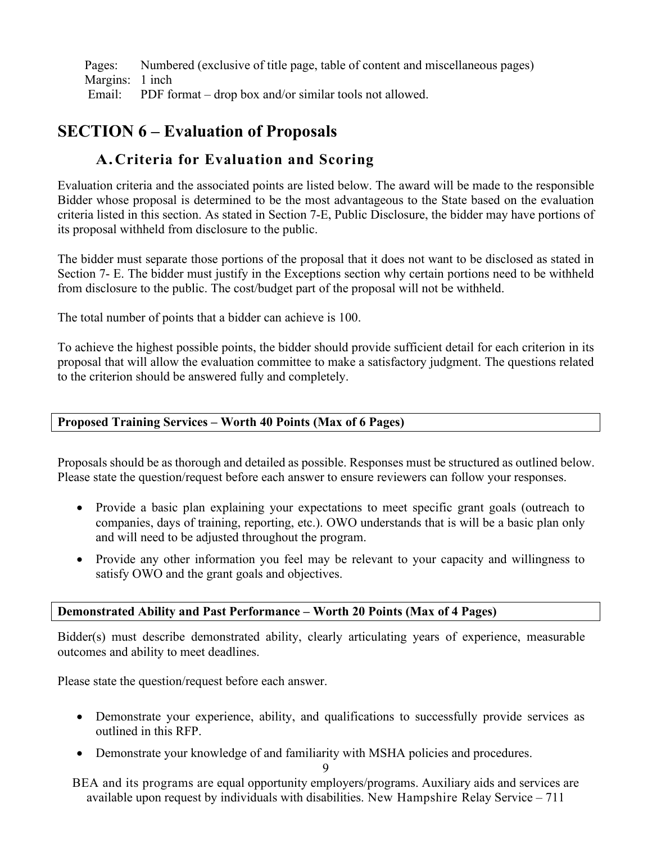Pages: Numbered (exclusive of title page, table of content and miscellaneous pages) Margins: 1 inch Email: PDF format – drop box and/or similar tools not allowed.

## **SECTION 6 – Evaluation of Proposals**

## **A.Criteria for Evaluation and Scoring**

Evaluation criteria and the associated points are listed below. The award will be made to the responsible Bidder whose proposal is determined to be the most advantageous to the State based on the evaluation criteria listed in this section. As stated in Section 7-E, Public Disclosure, the bidder may have portions of its proposal withheld from disclosure to the public.

The bidder must separate those portions of the proposal that it does not want to be disclosed as stated in Section 7- E. The bidder must justify in the Exceptions section why certain portions need to be withheld from disclosure to the public. The cost/budget part of the proposal will not be withheld.

The total number of points that a bidder can achieve is 100.

To achieve the highest possible points, the bidder should provide sufficient detail for each criterion in its proposal that will allow the evaluation committee to make a satisfactory judgment. The questions related to the criterion should be answered fully and completely.

#### **Proposed Training Services – Worth 40 Points (Max of 6 Pages)**

Proposals should be as thorough and detailed as possible. Responses must be structured as outlined below. Please state the question/request before each answer to ensure reviewers can follow your responses.

- Provide a basic plan explaining your expectations to meet specific grant goals (outreach to companies, days of training, reporting, etc.). OWO understands that is will be a basic plan only and will need to be adjusted throughout the program.
- Provide any other information you feel may be relevant to your capacity and willingness to satisfy OWO and the grant goals and objectives.

#### **Demonstrated Ability and Past Performance – Worth 20 Points (Max of 4 Pages)**

Bidder(s) must describe demonstrated ability, clearly articulating years of experience, measurable outcomes and ability to meet deadlines.

Please state the question/request before each answer.

- Demonstrate your experience, ability, and qualifications to successfully provide services as outlined in this RFP.
- Demonstrate your knowledge of and familiarity with MSHA policies and procedures.

9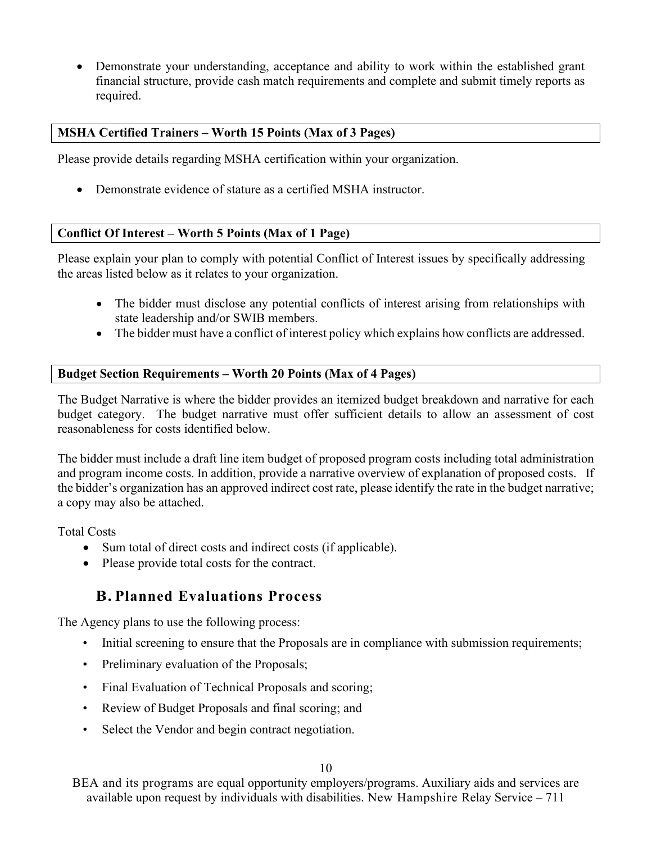• Demonstrate your understanding, acceptance and ability to work within the established grant financial structure, provide cash match requirements and complete and submit timely reports as required.

#### **MSHA Certified Trainers – Worth 15 Points (Max of 3 Pages)**

Please provide details regarding MSHA certification within your organization.

• Demonstrate evidence of stature as a certified MSHA instructor.

#### **Conflict Of Interest – Worth 5 Points (Max of 1 Page)**

Please explain your plan to comply with potential Conflict of Interest issues by specifically addressing the areas listed below as it relates to your organization.

- The bidder must disclose any potential conflicts of interest arising from relationships with state leadership and/or SWIB members.
- The bidder must have a conflict of interest policy which explains how conflicts are addressed.

#### **Budget Section Requirements – Worth 20 Points (Max of 4 Pages)**

The Budget Narrative is where the bidder provides an itemized budget breakdown and narrative for each budget category. The budget narrative must offer sufficient details to allow an assessment of cost reasonableness for costs identified below.

The bidder must include a draft line item budget of proposed program costs including total administration and program income costs. In addition, provide a narrative overview of explanation of proposed costs. If the bidder's organization has an approved indirect cost rate, please identify the rate in the budget narrative; a copy may also be attached.

Total Costs

- Sum total of direct costs and indirect costs (if applicable).
- Please provide total costs for the contract.

## **B. Planned Evaluations Process**

The Agency plans to use the following process:

- Initial screening to ensure that the Proposals are in compliance with submission requirements;
- Preliminary evaluation of the Proposals;
- Final Evaluation of Technical Proposals and scoring;
- Review of Budget Proposals and final scoring; and
- Select the Vendor and begin contract negotiation.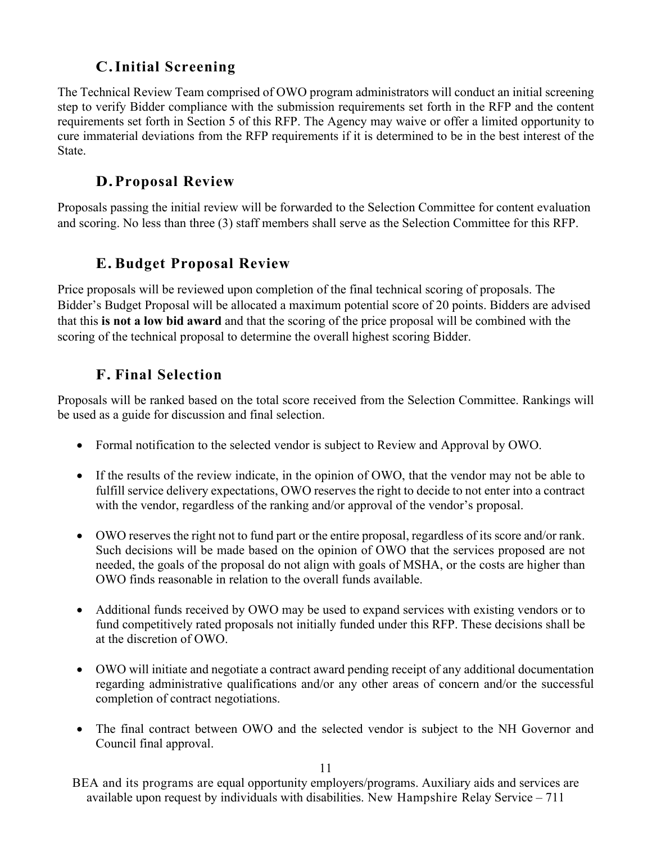# **C.Initial Screening**

The Technical Review Team comprised of OWO program administrators will conduct an initial screening step to verify Bidder compliance with the submission requirements set forth in the RFP and the content requirements set forth in Section 5 of this RFP. The Agency may waive or offer a limited opportunity to cure immaterial deviations from the RFP requirements if it is determined to be in the best interest of the State.

## **D.Proposal Review**

Proposals passing the initial review will be forwarded to the Selection Committee for content evaluation and scoring. No less than three (3) staff members shall serve as the Selection Committee for this RFP.

## **E. Budget Proposal Review**

Price proposals will be reviewed upon completion of the final technical scoring of proposals. The Bidder's Budget Proposal will be allocated a maximum potential score of 20 points. Bidders are advised that this **is not a low bid award** and that the scoring of the price proposal will be combined with the scoring of the technical proposal to determine the overall highest scoring Bidder.

# **F. Final Selection**

Proposals will be ranked based on the total score received from the Selection Committee. Rankings will be used as a guide for discussion and final selection.

- Formal notification to the selected vendor is subject to Review and Approval by OWO.
- If the results of the review indicate, in the opinion of OWO, that the vendor may not be able to fulfill service delivery expectations, OWO reserves the right to decide to not enter into a contract with the vendor, regardless of the ranking and/or approval of the vendor's proposal.
- OWO reserves the right not to fund part or the entire proposal, regardless of its score and/or rank. Such decisions will be made based on the opinion of OWO that the services proposed are not needed, the goals of the proposal do not align with goals of MSHA, or the costs are higher than OWO finds reasonable in relation to the overall funds available.
- Additional funds received by OWO may be used to expand services with existing vendors or to fund competitively rated proposals not initially funded under this RFP. These decisions shall be at the discretion of OWO.
- OWO will initiate and negotiate a contract award pending receipt of any additional documentation regarding administrative qualifications and/or any other areas of concern and/or the successful completion of contract negotiations.
- The final contract between OWO and the selected vendor is subject to the NH Governor and Council final approval.

11

BEA and its programs are equal opportunity employers/programs. Auxiliary aids and services are available upon request by individuals with disabilities. New Hampshire Relay Service – 711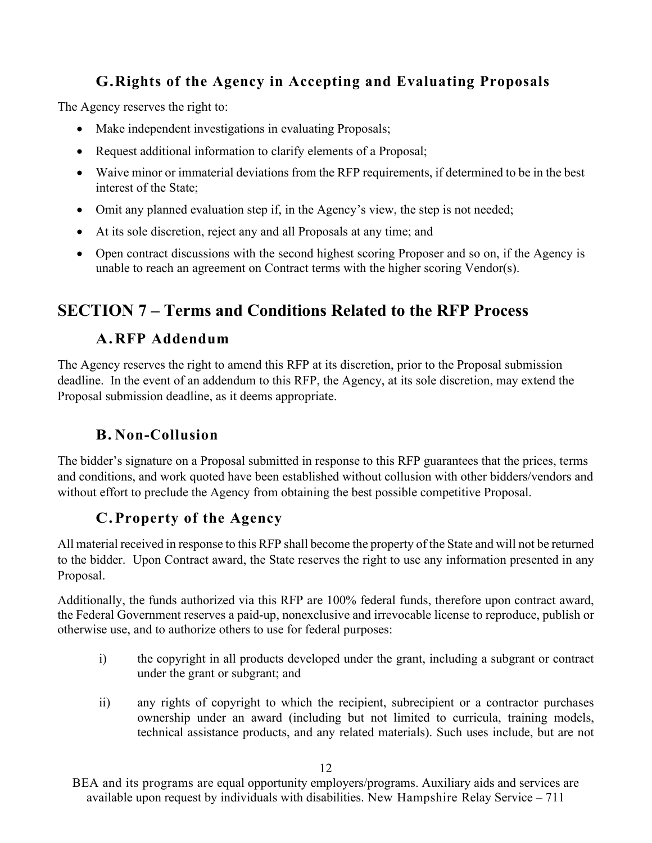# **G.Rights of the Agency in Accepting and Evaluating Proposals**

The Agency reserves the right to:

- Make independent investigations in evaluating Proposals;
- Request additional information to clarify elements of a Proposal;
- Waive minor or immaterial deviations from the RFP requirements, if determined to be in the best interest of the State;
- Omit any planned evaluation step if, in the Agency's view, the step is not needed;
- At its sole discretion, reject any and all Proposals at any time; and
- Open contract discussions with the second highest scoring Proposer and so on, if the Agency is unable to reach an agreement on Contract terms with the higher scoring Vendor(s).

# **SECTION 7 – Terms and Conditions Related to the RFP Process**

## **A.RFP Addendum**

The Agency reserves the right to amend this RFP at its discretion, prior to the Proposal submission deadline. In the event of an addendum to this RFP, the Agency, at its sole discretion, may extend the Proposal submission deadline, as it deems appropriate.

## **B. Non-Collusion**

The bidder's signature on a Proposal submitted in response to this RFP guarantees that the prices, terms and conditions, and work quoted have been established without collusion with other bidders/vendors and without effort to preclude the Agency from obtaining the best possible competitive Proposal.

## **C.Property of the Agency**

All material received in response to this RFP shall become the property of the State and will not be returned to the bidder. Upon Contract award, the State reserves the right to use any information presented in any Proposal.

Additionally, the funds authorized via this RFP are 100% federal funds, therefore upon contract award, the Federal Government reserves a paid-up, nonexclusive and irrevocable license to reproduce, publish or otherwise use, and to authorize others to use for federal purposes:

- i) the copyright in all products developed under the grant, including a subgrant or contract under the grant or subgrant; and
- ii) any rights of copyright to which the recipient, subrecipient or a contractor purchases ownership under an award (including but not limited to curricula, training models, technical assistance products, and any related materials). Such uses include, but are not

BEA and its programs are equal opportunity employers/programs. Auxiliary aids and services are available upon request by individuals with disabilities. New Hampshire Relay Service – 711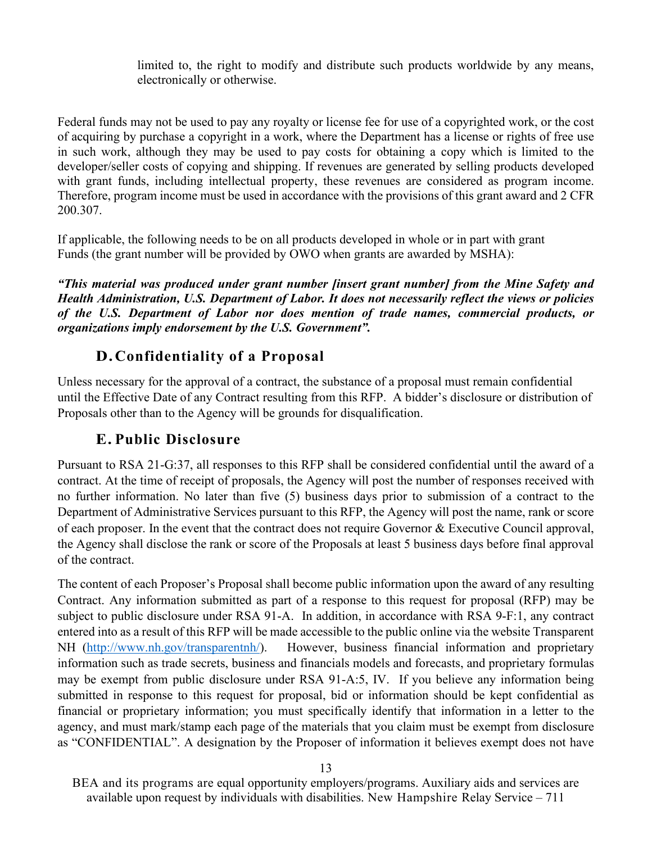limited to, the right to modify and distribute such products worldwide by any means, electronically or otherwise.

Federal funds may not be used to pay any royalty or license fee for use of a copyrighted work, or the cost of acquiring by purchase a copyright in a work, where the Department has a license or rights of free use in such work, although they may be used to pay costs for obtaining a copy which is limited to the developer/seller costs of copying and shipping. If revenues are generated by selling products developed with grant funds, including intellectual property, these revenues are considered as program income. Therefore, program income must be used in accordance with the provisions of this grant award and 2 CFR 200.307.

If applicable, the following needs to be on all products developed in whole or in part with grant Funds (the grant number will be provided by OWO when grants are awarded by MSHA):

*"This material was produced under grant number [insert grant number] from the Mine Safety and Health Administration, U.S. Department of Labor. It does not necessarily reflect the views or policies of the U.S. Department of Labor nor does mention of trade names, commercial products, or organizations imply endorsement by the U.S. Government".*

## **D.Confidentiality of a Proposal**

Unless necessary for the approval of a contract, the substance of a proposal must remain confidential until the Effective Date of any Contract resulting from this RFP. A bidder's disclosure or distribution of Proposals other than to the Agency will be grounds for disqualification.

## **E. Public Disclosure**

Pursuant to RSA 21-G:37, all responses to this RFP shall be considered confidential until the award of a contract. At the time of receipt of proposals, the Agency will post the number of responses received with no further information. No later than five (5) business days prior to submission of a contract to the Department of Administrative Services pursuant to this RFP, the Agency will post the name, rank or score of each proposer. In the event that the contract does not require Governor & Executive Council approval, the Agency shall disclose the rank or score of the Proposals at least 5 business days before final approval of the contract.

The content of each Proposer's Proposal shall become public information upon the award of any resulting Contract. Any information submitted as part of a response to this request for proposal (RFP) may be subject to public disclosure under RSA 91-A. In addition, in accordance with RSA 9-F:1, any contract entered into as a result of this RFP will be made accessible to the public online via the website Transparent NH [\(http://www.nh.gov/transparentnh/\)](http://www.nh.gov/transparentnh/). However, business financial information and proprietary information such as trade secrets, business and financials models and forecasts, and proprietary formulas may be exempt from public disclosure under RSA 91-A:5, IV. If you believe any information being submitted in response to this request for proposal, bid or information should be kept confidential as financial or proprietary information; you must specifically identify that information in a letter to the agency, and must mark/stamp each page of the materials that you claim must be exempt from disclosure as "CONFIDENTIAL". A designation by the Proposer of information it believes exempt does not have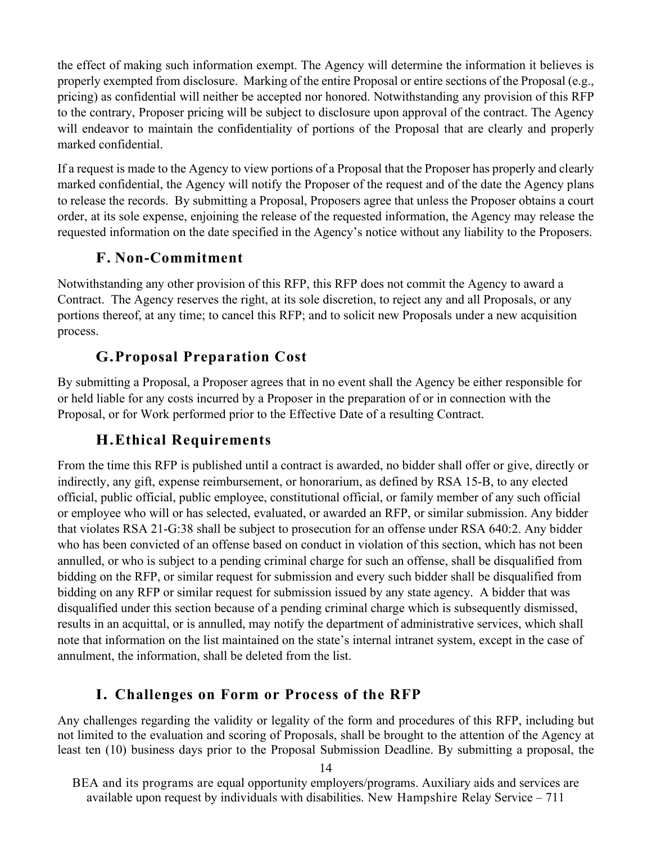the effect of making such information exempt. The Agency will determine the information it believes is properly exempted from disclosure. Marking of the entire Proposal or entire sections of the Proposal (e.g., pricing) as confidential will neither be accepted nor honored. Notwithstanding any provision of this RFP to the contrary, Proposer pricing will be subject to disclosure upon approval of the contract. The Agency will endeavor to maintain the confidentiality of portions of the Proposal that are clearly and properly marked confidential.

If a request is made to the Agency to view portions of a Proposal that the Proposer has properly and clearly marked confidential, the Agency will notify the Proposer of the request and of the date the Agency plans to release the records. By submitting a Proposal, Proposers agree that unless the Proposer obtains a court order, at its sole expense, enjoining the release of the requested information, the Agency may release the requested information on the date specified in the Agency's notice without any liability to the Proposers.

## **F. Non-Commitment**

Notwithstanding any other provision of this RFP, this RFP does not commit the Agency to award a Contract. The Agency reserves the right, at its sole discretion, to reject any and all Proposals, or any portions thereof, at any time; to cancel this RFP; and to solicit new Proposals under a new acquisition process.

## **G.Proposal Preparation Cost**

By submitting a Proposal, a Proposer agrees that in no event shall the Agency be either responsible for or held liable for any costs incurred by a Proposer in the preparation of or in connection with the Proposal, or for Work performed prior to the Effective Date of a resulting Contract.

## **H.Ethical Requirements**

From the time this RFP is published until a contract is awarded, no bidder shall offer or give, directly or indirectly, any gift, expense reimbursement, or honorarium, as defined by RSA 15-B, to any elected official, public official, public employee, constitutional official, or family member of any such official or employee who will or has selected, evaluated, or awarded an RFP, or similar submission. Any bidder that violates RSA 21-G:38 shall be subject to prosecution for an offense under RSA 640:2. Any bidder who has been convicted of an offense based on conduct in violation of this section, which has not been annulled, or who is subject to a pending criminal charge for such an offense, shall be disqualified from bidding on the RFP, or similar request for submission and every such bidder shall be disqualified from bidding on any RFP or similar request for submission issued by any state agency. A bidder that was disqualified under this section because of a pending criminal charge which is subsequently dismissed, results in an acquittal, or is annulled, may notify the department of administrative services, which shall note that information on the list maintained on the state's internal intranet system, except in the case of annulment, the information, shall be deleted from the list.

## **I. Challenges on Form or Process of the RFP**

Any challenges regarding the validity or legality of the form and procedures of this RFP, including but not limited to the evaluation and scoring of Proposals, shall be brought to the attention of the Agency at least ten (10) business days prior to the Proposal Submission Deadline. By submitting a proposal, the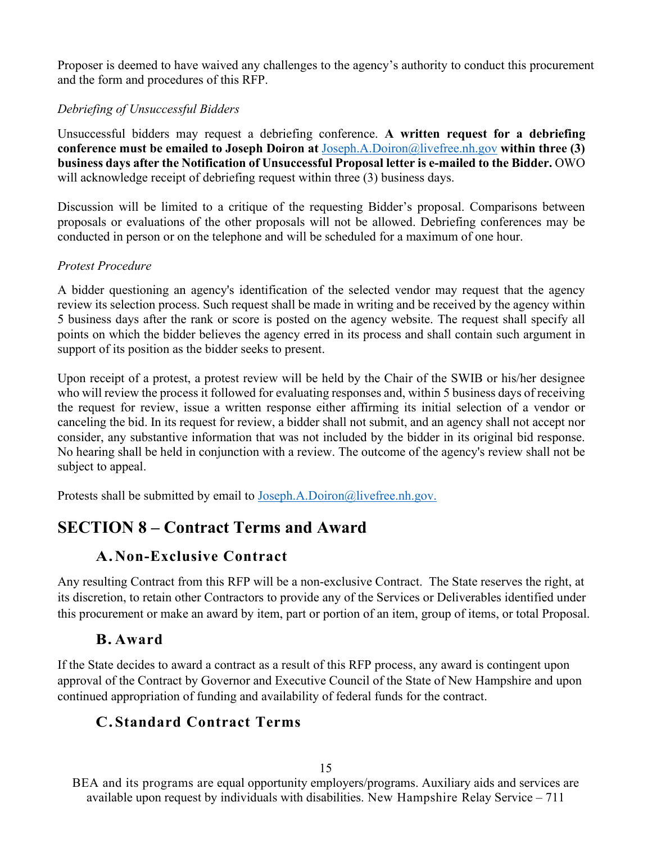Proposer is deemed to have waived any challenges to the agency's authority to conduct this procurement and the form and procedures of this RFP.

#### *Debriefing of Unsuccessful Bidders*

Unsuccessful bidders may request a debriefing conference. **A written request for a debriefing conference must be emailed to Joseph Doiron at** [Joseph.A.Doiron@livefree.nh.gov](mailto:Joseph.A.Doiron@livefree.nh.gov) **within three (3) business days after the Notification of Unsuccessful Proposal letter is e-mailed to the Bidder.** OWO will acknowledge receipt of debriefing request within three (3) business days.

Discussion will be limited to a critique of the requesting Bidder's proposal. Comparisons between proposals or evaluations of the other proposals will not be allowed. Debriefing conferences may be conducted in person or on the telephone and will be scheduled for a maximum of one hour.

#### *Protest Procedure*

A bidder questioning an agency's identification of the selected vendor may request that the agency review its selection process. Such request shall be made in writing and be received by the agency within 5 business days after the rank or score is posted on the agency website. The request shall specify all points on which the bidder believes the agency erred in its process and shall contain such argument in support of its position as the bidder seeks to present.

Upon receipt of a protest, a protest review will be held by the Chair of the SWIB or his/her designee who will review the process it followed for evaluating responses and, within 5 business days of receiving the request for review, issue a written response either affirming its initial selection of a vendor or canceling the bid. In its request for review, a bidder shall not submit, and an agency shall not accept nor consider, any substantive information that was not included by the bidder in its original bid response. No hearing shall be held in conjunction with a review. The outcome of the agency's review shall not be subject to appeal.

Protests shall be submitted by email to [Joseph.A.Doiron@livefree.nh.gov.](mailto:Joseph.A.Doiron@livefree.nh.gov)

# **SECTION 8 – Contract Terms and Award**

## **A.Non-Exclusive Contract**

Any resulting Contract from this RFP will be a non-exclusive Contract. The State reserves the right, at its discretion, to retain other Contractors to provide any of the Services or Deliverables identified under this procurement or make an award by item, part or portion of an item, group of items, or total Proposal.

## **B. Award**

If the State decides to award a contract as a result of this RFP process, any award is contingent upon approval of the Contract by Governor and Executive Council of the State of New Hampshire and upon continued appropriation of funding and availability of federal funds for the contract.

## **C.Standard Contract Terms**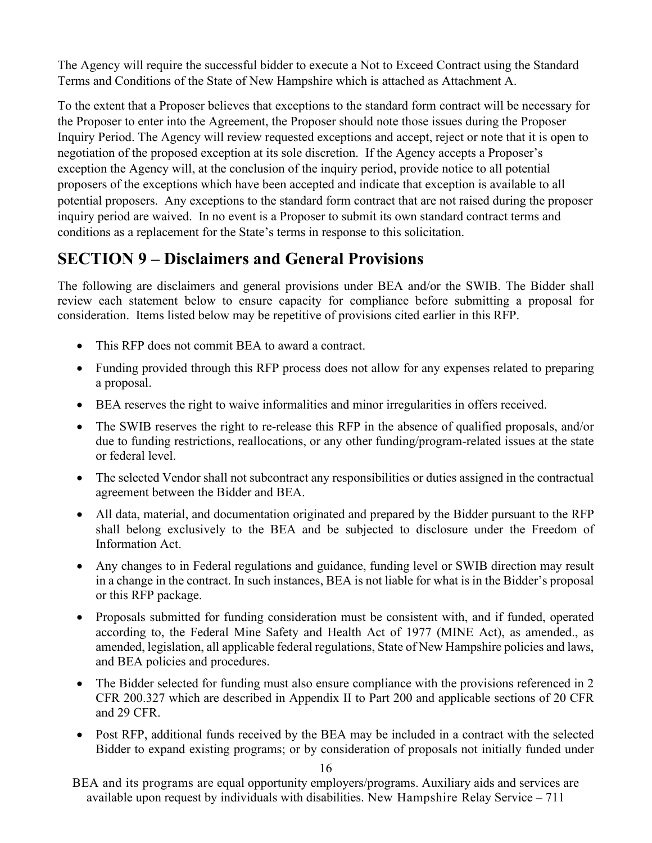The Agency will require the successful bidder to execute a Not to Exceed Contract using the Standard Terms and Conditions of the State of New Hampshire which is attached as Attachment A.

To the extent that a Proposer believes that exceptions to the standard form contract will be necessary for the Proposer to enter into the Agreement, the Proposer should note those issues during the Proposer Inquiry Period. The Agency will review requested exceptions and accept, reject or note that it is open to negotiation of the proposed exception at its sole discretion. If the Agency accepts a Proposer's exception the Agency will, at the conclusion of the inquiry period, provide notice to all potential proposers of the exceptions which have been accepted and indicate that exception is available to all potential proposers. Any exceptions to the standard form contract that are not raised during the proposer inquiry period are waived. In no event is a Proposer to submit its own standard contract terms and conditions as a replacement for the State's terms in response to this solicitation.

# **SECTION 9 – Disclaimers and General Provisions**

The following are disclaimers and general provisions under BEA and/or the SWIB. The Bidder shall review each statement below to ensure capacity for compliance before submitting a proposal for consideration. Items listed below may be repetitive of provisions cited earlier in this RFP.

- This RFP does not commit BEA to award a contract.
- Funding provided through this RFP process does not allow for any expenses related to preparing a proposal.
- BEA reserves the right to waive informalities and minor irregularities in offers received.
- The SWIB reserves the right to re-release this RFP in the absence of qualified proposals, and/or due to funding restrictions, reallocations, or any other funding/program-related issues at the state or federal level.
- The selected Vendor shall not subcontract any responsibilities or duties assigned in the contractual agreement between the Bidder and BEA.
- All data, material, and documentation originated and prepared by the Bidder pursuant to the RFP shall belong exclusively to the BEA and be subjected to disclosure under the Freedom of Information Act.
- Any changes to in Federal regulations and guidance, funding level or SWIB direction may result in a change in the contract. In such instances, BEA is not liable for what is in the Bidder's proposal or this RFP package.
- Proposals submitted for funding consideration must be consistent with, and if funded, operated according to, the Federal Mine Safety and Health Act of 1977 (MINE Act), as amended., as amended, legislation, all applicable federal regulations, State of New Hampshire policies and laws, and BEA policies and procedures.
- The Bidder selected for funding must also ensure compliance with the provisions referenced in 2 CFR 200.327 which are described in Appendix II to Part 200 and applicable sections of 20 CFR and 29 CFR.
- Post RFP, additional funds received by the BEA may be included in a contract with the selected Bidder to expand existing programs; or by consideration of proposals not initially funded under

16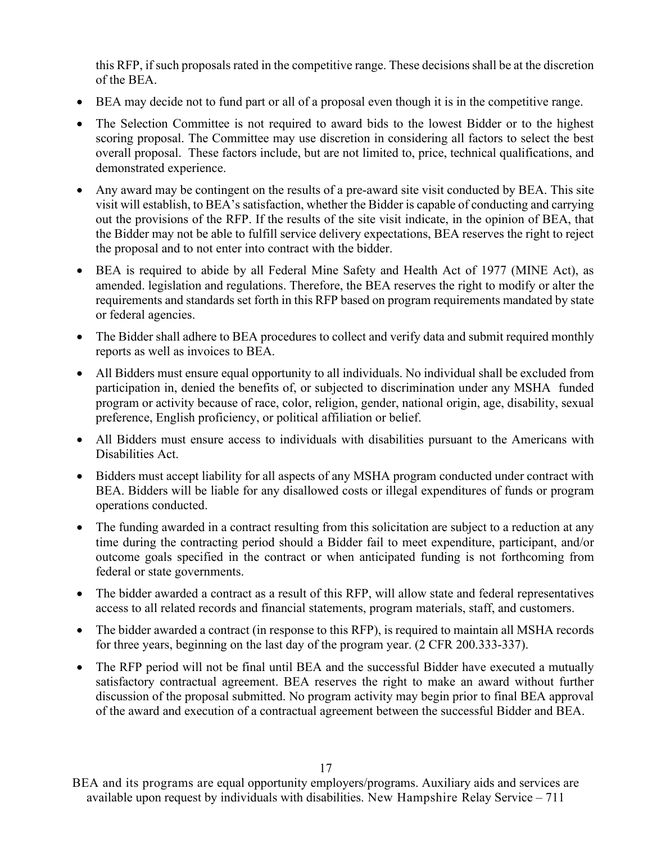this RFP, if such proposals rated in the competitive range. These decisions shall be at the discretion of the BEA.

- BEA may decide not to fund part or all of a proposal even though it is in the competitive range.
- The Selection Committee is not required to award bids to the lowest Bidder or to the highest scoring proposal. The Committee may use discretion in considering all factors to select the best overall proposal. These factors include, but are not limited to, price, technical qualifications, and demonstrated experience.
- Any award may be contingent on the results of a pre-award site visit conducted by BEA. This site visit will establish, to BEA's satisfaction, whether the Bidder is capable of conducting and carrying out the provisions of the RFP. If the results of the site visit indicate, in the opinion of BEA, that the Bidder may not be able to fulfill service delivery expectations, BEA reserves the right to reject the proposal and to not enter into contract with the bidder.
- BEA is required to abide by all Federal Mine Safety and Health Act of 1977 (MINE Act), as amended. legislation and regulations. Therefore, the BEA reserves the right to modify or alter the requirements and standards set forth in this RFP based on program requirements mandated by state or federal agencies.
- The Bidder shall adhere to BEA procedures to collect and verify data and submit required monthly reports as well as invoices to BEA.
- All Bidders must ensure equal opportunity to all individuals. No individual shall be excluded from participation in, denied the benefits of, or subjected to discrimination under any MSHA funded program or activity because of race, color, religion, gender, national origin, age, disability, sexual preference, English proficiency, or political affiliation or belief.
- All Bidders must ensure access to individuals with disabilities pursuant to the Americans with Disabilities Act.
- Bidders must accept liability for all aspects of any MSHA program conducted under contract with BEA. Bidders will be liable for any disallowed costs or illegal expenditures of funds or program operations conducted.
- The funding awarded in a contract resulting from this solicitation are subject to a reduction at any time during the contracting period should a Bidder fail to meet expenditure, participant, and/or outcome goals specified in the contract or when anticipated funding is not forthcoming from federal or state governments.
- The bidder awarded a contract as a result of this RFP, will allow state and federal representatives access to all related records and financial statements, program materials, staff, and customers.
- The bidder awarded a contract (in response to this RFP), is required to maintain all MSHA records for three years, beginning on the last day of the program year. (2 CFR 200.333-337).
- The RFP period will not be final until BEA and the successful Bidder have executed a mutually satisfactory contractual agreement. BEA reserves the right to make an award without further discussion of the proposal submitted. No program activity may begin prior to final BEA approval of the award and execution of a contractual agreement between the successful Bidder and BEA.

BEA and its programs are equal opportunity employers/programs. Auxiliary aids and services are available upon request by individuals with disabilities. New Hampshire Relay Service – 711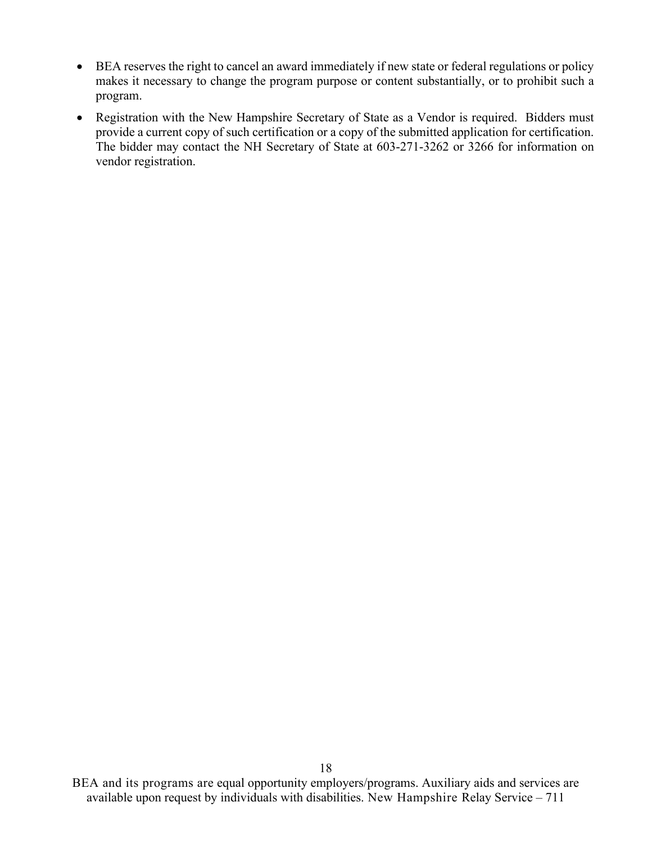- BEA reserves the right to cancel an award immediately if new state or federal regulations or policy makes it necessary to change the program purpose or content substantially, or to prohibit such a program.
- Registration with the New Hampshire Secretary of State as a Vendor is required. Bidders must provide a current copy of such certification or a copy of the submitted application for certification. The bidder may contact the NH Secretary of State at 603-271-3262 or 3266 for information on vendor registration.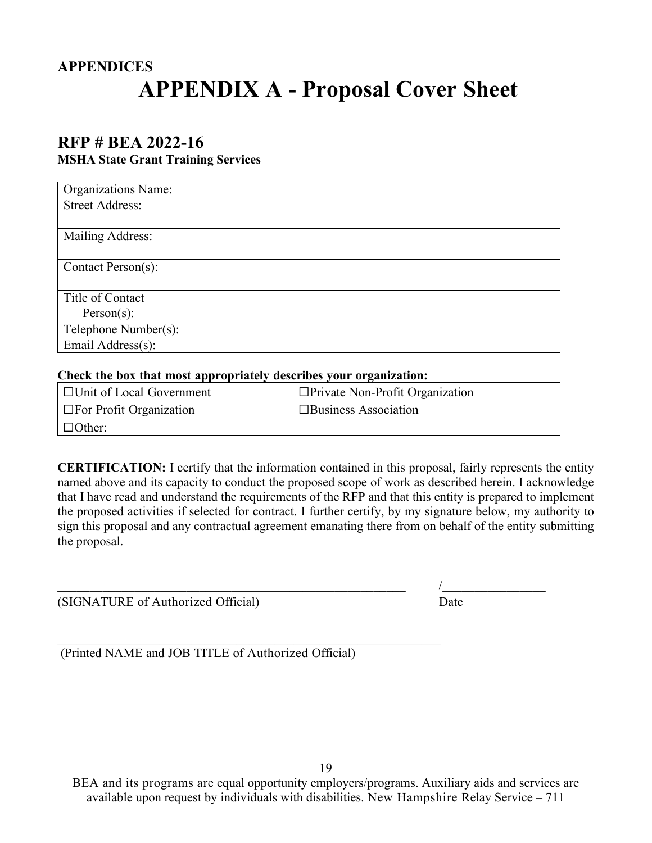# **APPENDICES APPENDIX A - Proposal Cover Sheet**

# **RFP # BEA 2022-16**

#### **MSHA State Grant Training Services**

| <b>Organizations Name:</b> |  |
|----------------------------|--|
| <b>Street Address:</b>     |  |
|                            |  |
| Mailing Address:           |  |
|                            |  |
| Contact Person(s):         |  |
|                            |  |
| Title of Contact           |  |
| Person(s):                 |  |
| Telephone Number(s):       |  |
| Email Address(s):          |  |

#### **Check the box that most appropriately describes your organization:**

| $\Box$ Unit of Local Government | $\Box$ Private Non-Profit Organization |
|---------------------------------|----------------------------------------|
| $\Box$ For Profit Organization  | $\Box$ Business Association            |
| $\Box$ Other:                   |                                        |

**CERTIFICATION:** I certify that the information contained in this proposal, fairly represents the entity named above and its capacity to conduct the proposed scope of work as described herein. I acknowledge that I have read and understand the requirements of the RFP and that this entity is prepared to implement the proposed activities if selected for contract. I further certify, by my signature below, my authority to sign this proposal and any contractual agreement emanating there from on behalf of the entity submitting the proposal.

(SIGNATURE of Authorized Official) Date

\_\_\_\_\_\_\_\_\_\_\_\_\_\_\_\_\_\_\_\_\_\_\_\_\_\_\_\_\_\_\_\_\_\_\_\_\_\_\_\_\_\_\_\_\_\_\_\_\_\_\_\_\_\_ /\_\_\_\_\_\_\_\_\_\_\_\_\_\_\_\_

 $\mathcal{L}_\text{max} = \mathcal{L}_\text{max} = \mathcal{L}_\text{max} = \mathcal{L}_\text{max} = \mathcal{L}_\text{max} = \mathcal{L}_\text{max} = \mathcal{L}_\text{max} = \mathcal{L}_\text{max} = \mathcal{L}_\text{max} = \mathcal{L}_\text{max} = \mathcal{L}_\text{max} = \mathcal{L}_\text{max} = \mathcal{L}_\text{max} = \mathcal{L}_\text{max} = \mathcal{L}_\text{max} = \mathcal{L}_\text{max} = \mathcal{L}_\text{max} = \mathcal{L}_\text{max} = \mathcal{$ (Printed NAME and JOB TITLE of Authorized Official)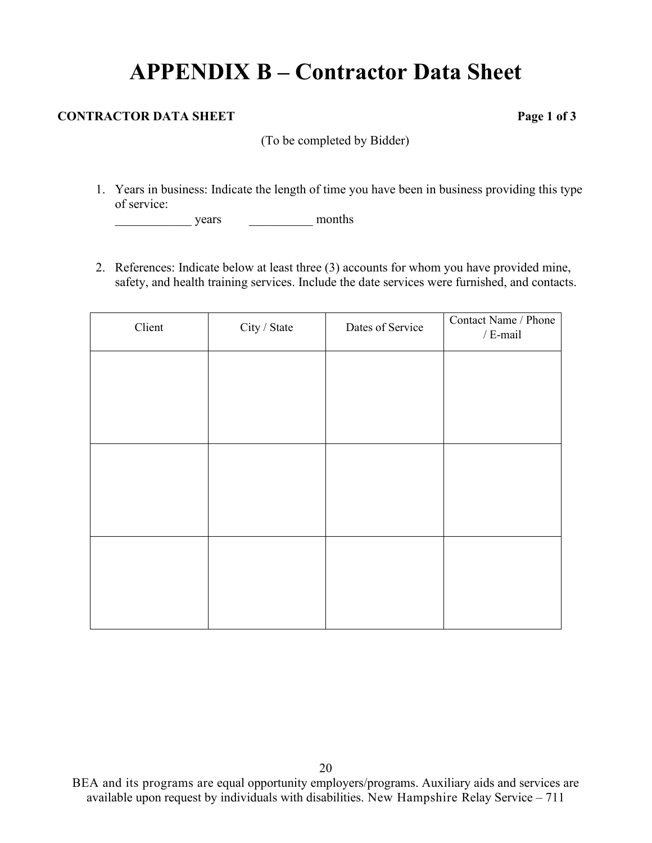# **APPENDIX B – Contractor Data Sheet**

#### **CONTRACTOR DATA SHEET** Page 1 of 3

(To be completed by Bidder)

1. Years in business: Indicate the length of time you have been in business providing this type of service:

\_\_\_\_\_\_\_\_\_\_\_\_ years \_\_\_\_\_\_\_\_\_\_ months

2. References: Indicate below at least three (3) accounts for whom you have provided mine, safety, and health training services. Include the date services were furnished, and contacts.

| Client | City / State | Dates of Service | Contact Name / Phone<br>/ $\mbox{E-mail}$ |
|--------|--------------|------------------|-------------------------------------------|
|        |              |                  |                                           |
|        |              |                  |                                           |
|        |              |                  |                                           |
|        |              |                  |                                           |
|        |              |                  |                                           |
|        |              |                  |                                           |
|        |              |                  |                                           |
|        |              |                  |                                           |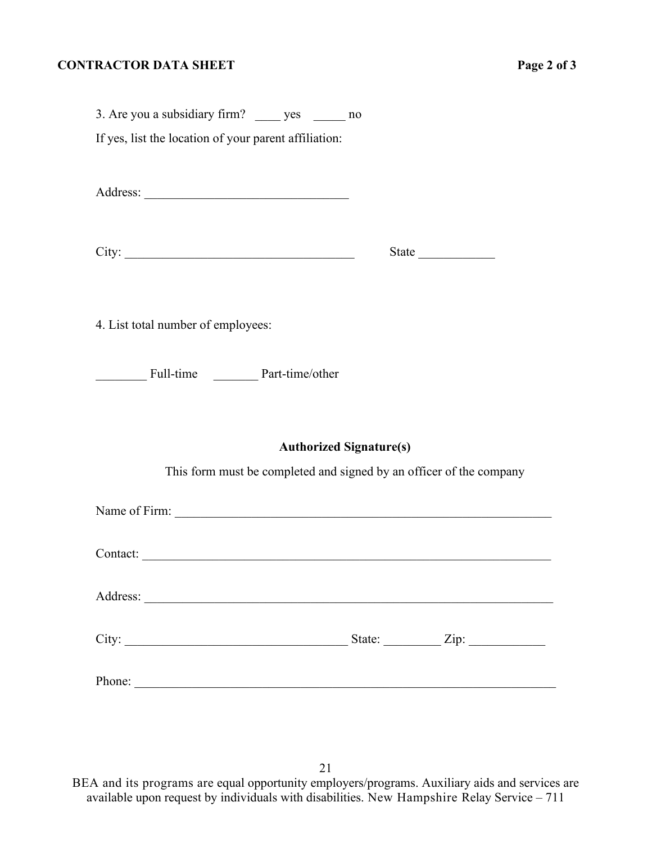#### **CONTRACTOR DATA SHEET** Page 2 of 3

| 3. Are you a subsidiary firm? ______ yes _______ no   |                                                                                                       |
|-------------------------------------------------------|-------------------------------------------------------------------------------------------------------|
| If yes, list the location of your parent affiliation: |                                                                                                       |
| Address:                                              |                                                                                                       |
|                                                       | State                                                                                                 |
| 4. List total number of employees:                    |                                                                                                       |
| Full-time Part-time/other                             |                                                                                                       |
|                                                       | <b>Authorized Signature(s)</b><br>This form must be completed and signed by an officer of the company |
|                                                       |                                                                                                       |
|                                                       | Contact:                                                                                              |
|                                                       |                                                                                                       |
|                                                       | State: $\angle$ Zip: $\angle$                                                                         |

Phone: \_\_\_\_\_\_\_\_\_\_\_\_\_\_\_\_\_\_\_\_\_\_\_\_\_\_\_\_\_\_\_\_\_\_\_\_\_\_\_\_\_\_\_\_\_\_\_\_\_\_\_\_\_\_\_\_\_\_\_\_\_\_\_\_\_\_

21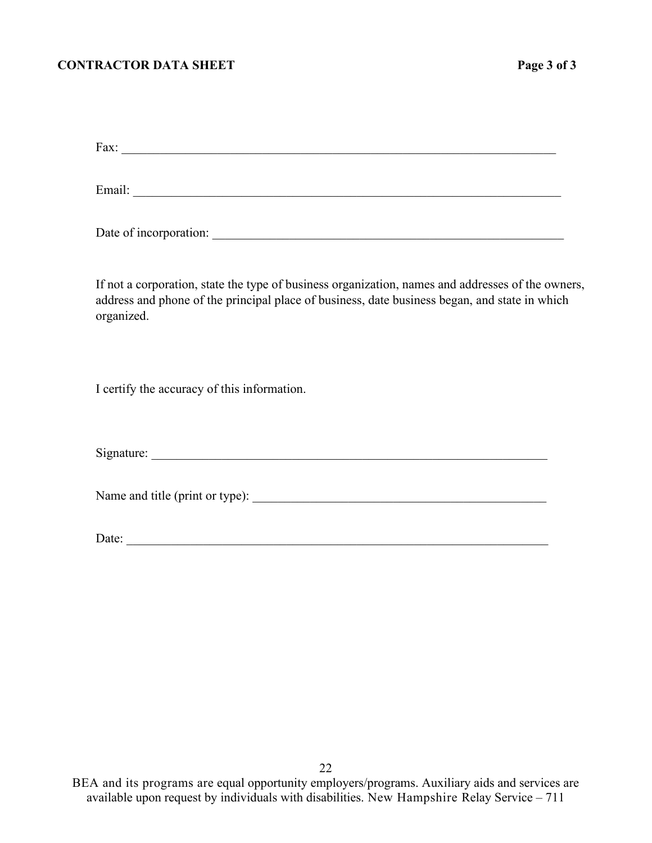#### **CONTRACTOR DATA SHEET** Page 3 of 3

Fax: \_\_\_\_\_\_\_\_\_\_\_\_\_\_\_\_\_\_\_\_\_\_\_\_\_\_\_\_\_\_\_\_\_\_\_\_\_\_\_\_\_\_\_\_\_\_\_\_\_\_\_\_\_\_\_\_\_\_\_\_\_\_\_\_\_\_\_\_

Email: \_\_\_\_\_\_\_\_\_\_\_\_\_\_\_\_\_\_\_\_\_\_\_\_\_\_\_\_\_\_\_\_\_\_\_\_\_\_\_\_\_\_\_\_\_\_\_\_\_\_\_\_\_\_\_\_\_\_\_\_\_\_\_\_\_\_\_

Date of incorporation: \_\_\_\_\_\_\_\_\_\_\_\_\_\_\_\_\_\_\_\_\_\_\_\_\_\_\_\_\_\_\_\_\_\_\_\_\_\_\_\_\_\_\_\_\_\_\_\_\_\_\_\_\_\_\_

If not a corporation, state the type of business organization, names and addresses of the owners, address and phone of the principal place of business, date business began, and state in which organized.

I certify the accuracy of this information.

Signature:

Name and title (print or type): \_\_\_\_\_\_\_\_\_\_\_\_\_\_\_\_\_\_\_\_\_\_\_\_\_\_\_\_\_\_\_\_\_\_\_\_\_\_\_\_\_\_\_\_\_\_

Date: \_\_\_\_\_\_\_\_\_\_\_\_\_\_\_\_\_\_\_\_\_\_\_\_\_\_\_\_\_\_\_\_\_\_\_\_\_\_\_\_\_\_\_\_\_\_\_\_\_\_\_\_\_\_\_\_\_\_\_\_\_\_\_\_\_\_

22